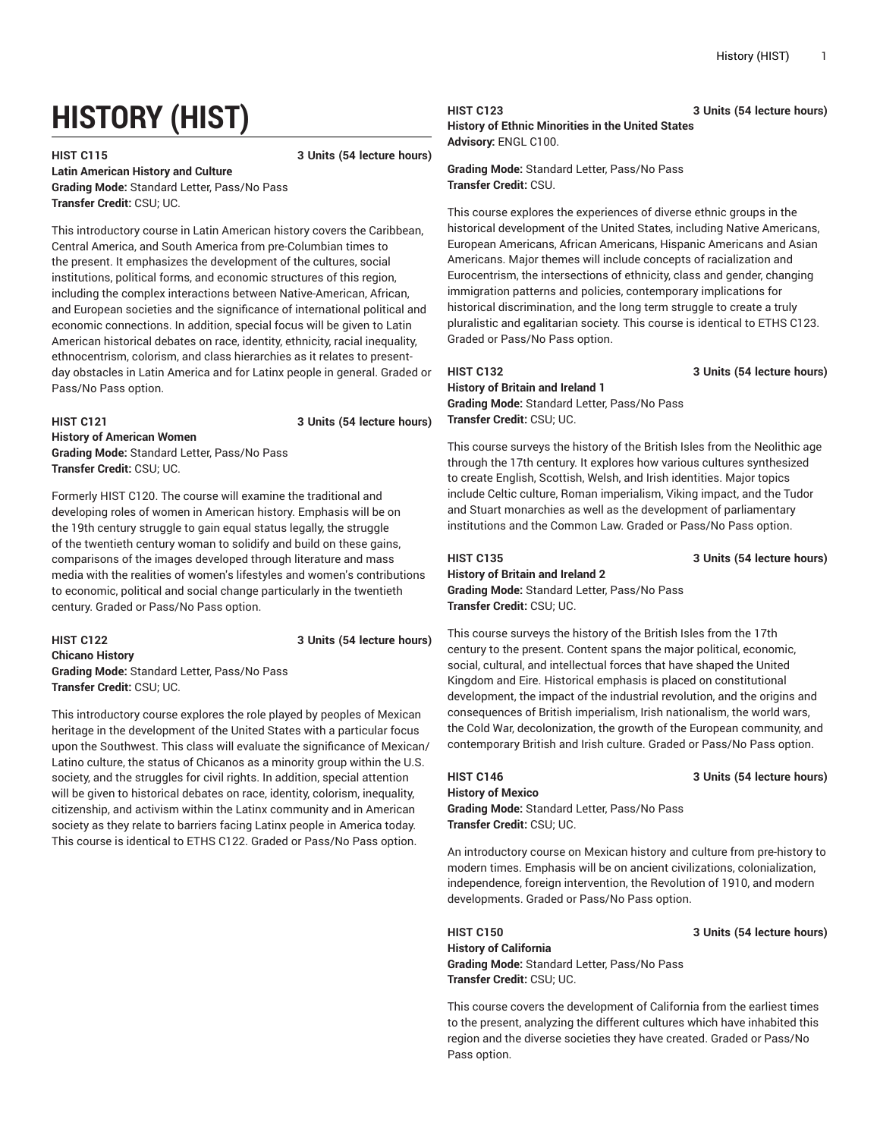# **HISTORY (HIST)**

# **HIST C115 3 Units (54 lecture hours)**

**Latin American History and Culture**

**Grading Mode:** Standard Letter, Pass/No Pass **Transfer Credit:** CSU; UC.

This introductory course in Latin American history covers the Caribbean, Central America, and South America from pre-Columbian times to the present. It emphasizes the development of the cultures, social institutions, political forms, and economic structures of this region, including the complex interactions between Native-American, African, and European societies and the significance of international political and economic connections. In addition, special focus will be given to Latin American historical debates on race, identity, ethnicity, racial inequality, ethnocentrism, colorism, and class hierarchies as it relates to presentday obstacles in Latin America and for Latinx people in general. Graded or Pass/No Pass option.

## **HIST C121 3 Units (54 lecture hours) History of American Women Grading Mode:** Standard Letter, Pass/No Pass **Transfer Credit:** CSU; UC.

Formerly HIST C120. The course will examine the traditional and developing roles of women in American history. Emphasis will be on the 19th century struggle to gain equal status legally, the struggle of the twentieth century woman to solidify and build on these gains, comparisons of the images developed through literature and mass media with the realities of women's lifestyles and women's contributions to economic, political and social change particularly in the twentieth century. Graded or Pass/No Pass option.

# **HIST C122 3 Units (54 lecture hours) Chicano History Grading Mode:** Standard Letter, Pass/No Pass **Transfer Credit:** CSU; UC.

This introductory course explores the role played by peoples of Mexican heritage in the development of the United States with a particular focus upon the Southwest. This class will evaluate the significance of Mexican/ Latino culture, the status of Chicanos as a minority group within the U.S. society, and the struggles for civil rights. In addition, special attention will be given to historical debates on race, identity, colorism, inequality, citizenship, and activism within the Latinx community and in American society as they relate to barriers facing Latinx people in America today. This course is identical to ETHS C122. Graded or Pass/No Pass option.

**HIST C123 3 Units (54 lecture hours) History of Ethnic Minorities in the United States Advisory:** ENGL C100.

**Grading Mode:** Standard Letter, Pass/No Pass **Transfer Credit:** CSU.

This course explores the experiences of diverse ethnic groups in the historical development of the United States, including Native Americans, European Americans, African Americans, Hispanic Americans and Asian Americans. Major themes will include concepts of racialization and Eurocentrism, the intersections of ethnicity, class and gender, changing immigration patterns and policies, contemporary implications for historical discrimination, and the long term struggle to create a truly pluralistic and egalitarian society. This course is identical to ETHS C123. Graded or Pass/No Pass option.

# **HIST C132 3 Units (54 lecture hours) History of Britain and Ireland 1**

**Grading Mode:** Standard Letter, Pass/No Pass **Transfer Credit:** CSU; UC.

This course surveys the history of the British Isles from the Neolithic age through the 17th century. It explores how various cultures synthesized to create English, Scottish, Welsh, and Irish identities. Major topics include Celtic culture, Roman imperialism, Viking impact, and the Tudor and Stuart monarchies as well as the development of parliamentary institutions and the Common Law. Graded or Pass/No Pass option.

**HIST C135 3 Units (54 lecture hours)**

**History of Britain and Ireland 2 Grading Mode:** Standard Letter, Pass/No Pass **Transfer Credit:** CSU; UC.

This course surveys the history of the British Isles from the 17th century to the present. Content spans the major political, economic, social, cultural, and intellectual forces that have shaped the United Kingdom and Eire. Historical emphasis is placed on constitutional development, the impact of the industrial revolution, and the origins and consequences of British imperialism, Irish nationalism, the world wars, the Cold War, decolonization, the growth of the European community, and contemporary British and Irish culture. Graded or Pass/No Pass option.

# **HIST C146 3 Units (54 lecture hours)**

**History of Mexico Grading Mode:** Standard Letter, Pass/No Pass **Transfer Credit:** CSU; UC.

An introductory course on Mexican history and culture from pre-history to modern times. Emphasis will be on ancient civilizations, colonialization, independence, foreign intervention, the Revolution of 1910, and modern developments. Graded or Pass/No Pass option.

**HIST C150 3 Units (54 lecture hours)**

**History of California Grading Mode:** Standard Letter, Pass/No Pass **Transfer Credit:** CSU; UC.

This course covers the development of California from the earliest times to the present, analyzing the different cultures which have inhabited this region and the diverse societies they have created. Graded or Pass/No Pass option.